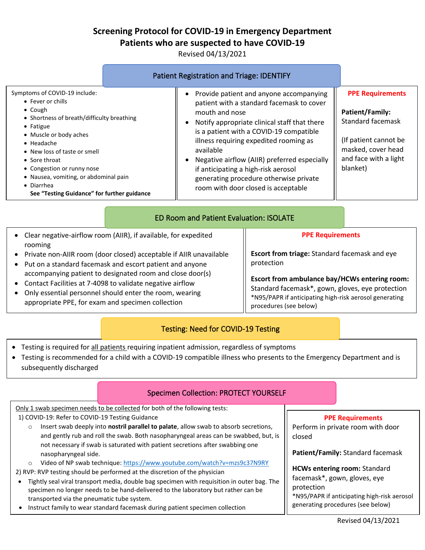# **Screening Protocol for COVID-19 in Emergency Department Patients who are suspected to have COVID-19**

Revised 04/13/2021

|                                                                                                                                                                                                                                                                                                                                                                       | <b>Patient Registration and Triage: IDENTIFY</b>                                                                                                                                                                                                                                                                                                                                                                                                           |                                                                                 |                                                                                                                                                                   |
|-----------------------------------------------------------------------------------------------------------------------------------------------------------------------------------------------------------------------------------------------------------------------------------------------------------------------------------------------------------------------|------------------------------------------------------------------------------------------------------------------------------------------------------------------------------------------------------------------------------------------------------------------------------------------------------------------------------------------------------------------------------------------------------------------------------------------------------------|---------------------------------------------------------------------------------|-------------------------------------------------------------------------------------------------------------------------------------------------------------------|
| Symptoms of COVID-19 include:<br>• Fever or chills<br>$\bullet$ Cough<br>• Shortness of breath/difficulty breathing<br>• Fatigue<br>• Muscle or body aches<br>$\bullet$ Headache<br>• New loss of taste or smell<br>• Sore throat<br>• Congestion or runny nose<br>• Nausea, vomiting, or abdominal pain<br>• Diarrhea<br>See "Testing Guidance" for further guidance | Provide patient and anyone accompanying<br>patient with a standard facemask to cover<br>mouth and nose<br>Notify appropriate clinical staff that there<br>$\bullet$<br>is a patient with a COVID-19 compatible<br>illness requiring expedited rooming as<br>available<br>Negative airflow (AIIR) preferred especially<br>$\bullet$<br>if anticipating a high-risk aerosol<br>generating procedure otherwise private<br>room with door closed is acceptable |                                                                                 | <b>PPE Requirements</b><br><b>Patient/Family:</b><br><b>Standard facemask</b><br>(If patient cannot be<br>masked, cover head<br>and face with a light<br>blanket) |
|                                                                                                                                                                                                                                                                                                                                                                       | <b>ED Room and Patient Evaluation: ISOLATE</b>                                                                                                                                                                                                                                                                                                                                                                                                             |                                                                                 |                                                                                                                                                                   |
| Clear negative-airflow room (AIIR), if available, for expedited<br>rooming<br>Private non-AIIR room (door closed) acceptable if AIIR unavailable                                                                                                                                                                                                                      |                                                                                                                                                                                                                                                                                                                                                                                                                                                            | <b>PPE Requirements</b><br><b>Escort from triage:</b> Standard facemask and eye |                                                                                                                                                                   |

- Put on a standard facemask and escort patient and anyone accompanying patient to designated room and close door(s)
- Contact Facilities at 7-4098 to validate negative airflow
- Only essential personnel should enter the room, wearing appropriate PPE, for exam and specimen collection

**Escort from ambulance bay/HCWs entering room:** Standard facemask\*, gown, gloves, eye protection \*N95/PAPR if anticipating high-risk aerosol generating procedures (see below)

# Testing: Need for COVID-19 Testing

protection

- Testing is required for all patients requiring inpatient admission, regardless of symptoms
- Testing is recommended for a child with a COVID-19 compatible illness who presents to the Emergency Department and is subsequently discharged

# Specimen Collection: PROTECT YOURSELF

#### Only 1 swab specimen needs to be collected for both of the following tests: 1) COVID-19: Refer to COVID-19 Testing Guidance o Insert swab deeply into **nostril parallel to palate**, allow swab to absorb secretions, and gently rub and roll the swab. Both nasopharyngeal areas can be swabbed, but, is not necessary if swab is saturated with patient secretions after swabbing one nasopharyngeal side. o Video of NP swab technique:<https://www.youtube.com/watch?v=mzs9c37N9RY> 2) RVP: RVP testing should be performed at the discretion of the physician • Tightly seal viral transport media, double bag specimen with requisition in outer bag. The closed

- specimen no longer needs to be hand-delivered to the laboratory but rather can be transported via the pneumatic tube system.
- Instruct family to wear standard facemask during patient specimen collection

### **PPE Requirements**

Perform in private room with door

**Patient/Family:** Standard facemask

**HCWs entering room:** Standard facemask\*, gown, gloves, eye protection \*N95/PAPR if anticipating high-risk aerosol generating procedures (see below)